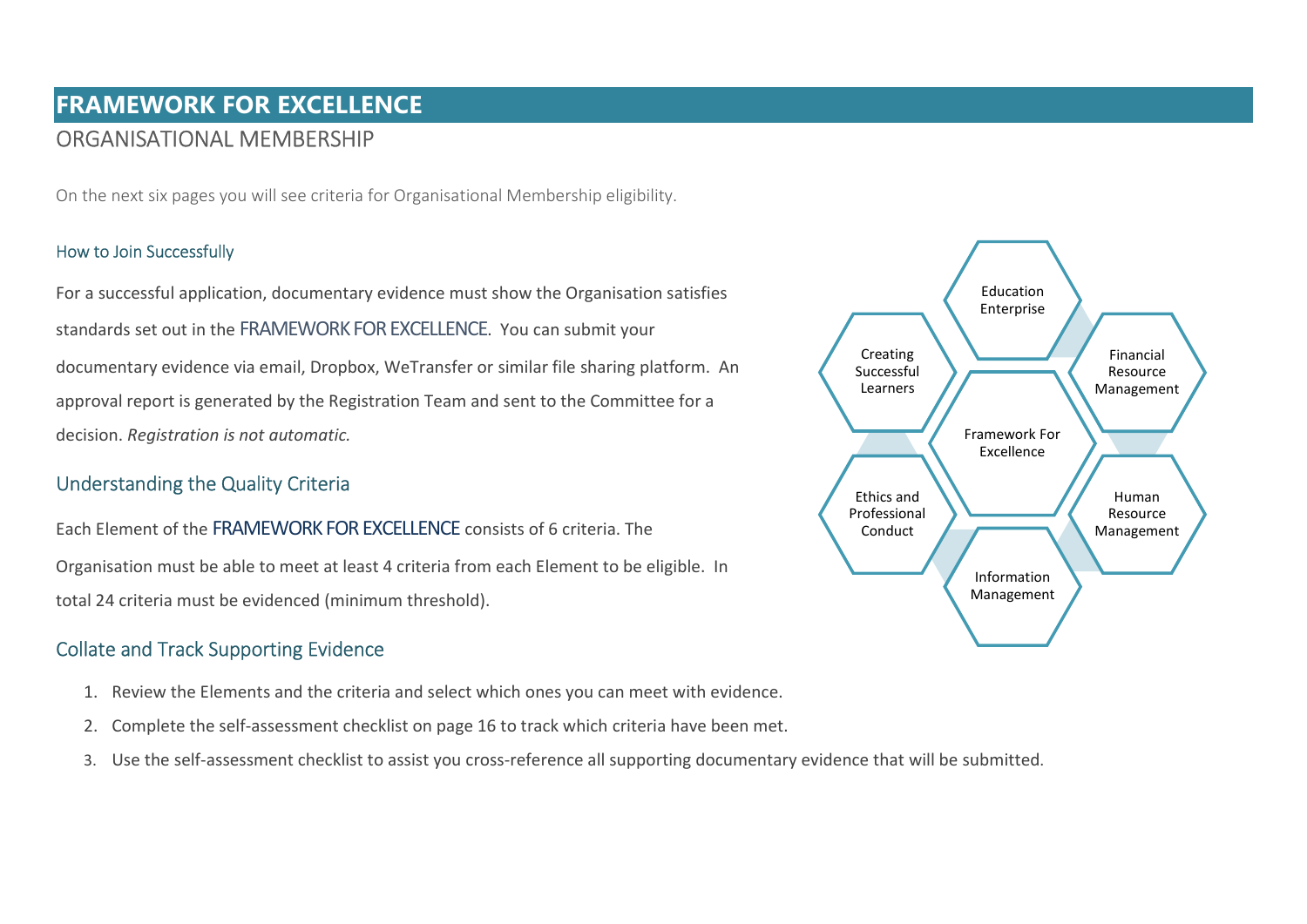# FRAMEWORK FOR EXCELLENCE ORGANISATIONAL MEMBERSHIP

On the next six pages you will see criteria for Organisational Membership eligibility.

#### How to Join Successfully

For a successful application, documentary evidence must show the Organisation satisfies standards set out in the FRAMEWORK FOR EXCELLENCE. You can submit your documentary evidence via email, Dropbox, WeTransfer or similar file sharing platform. An approval report is generated by the Registration Team and sent to the Committee for a decision. Registration is not automatic.

### Understanding the Quality Criteria

Each Element of the FRAMEWORK FOR EXCELLENCE consists of 6 criteria. The Organisation must be able to meet at least 4 criteria from each Element to be eligible. In total 24 criteria must be evidenced (minimum threshold).

## Collate and Track Supporting Evidence

- 1. Review the Elements and the criteria and select which ones you can meet with evidence.
- 2. Complete the self-assessment checklist on page 16 to track which criteria have been met.
- 3. Use the self-assessment checklist to assist you cross-reference all supporting documentary evidence that will be submitted.

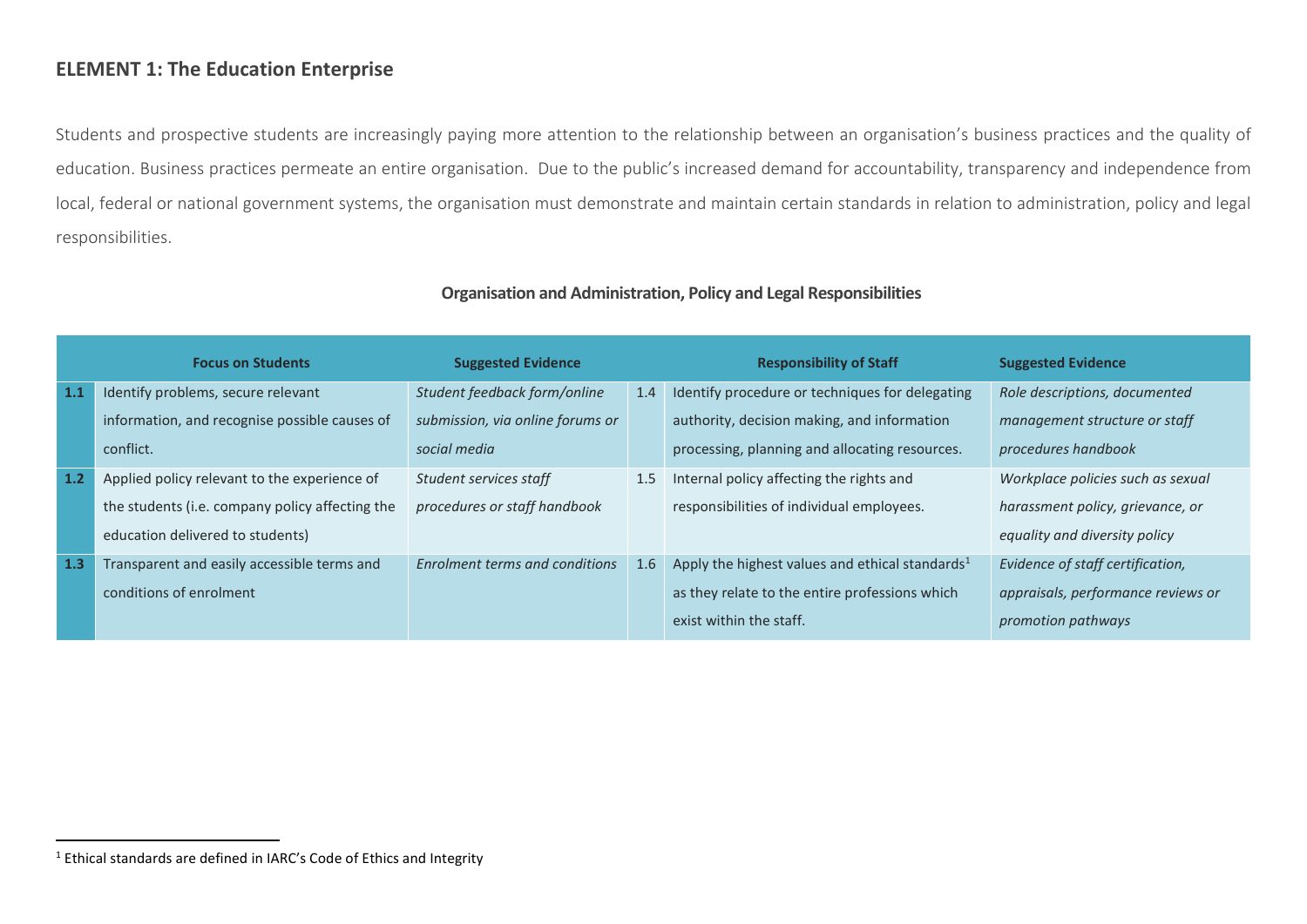### ELEMENT 1: The Education Enterprise

Students and prospective students are increasingly paying more attention to the relationship between an organisation's business practices and the quality of education. Business practices permeate an entire organisation. Due to the public's increased demand for accountability, transparency and independence from local, federal or national government systems, the organisation must demonstrate and maintain certain standards in relation to administration, policy and legal responsibilities.

|     | <b>Focus on Students</b>                        | <b>Suggested Evidence</b>        |     | <b>Responsibility of Staff</b>                     | <b>Suggested Evidence</b>          |
|-----|-------------------------------------------------|----------------------------------|-----|----------------------------------------------------|------------------------------------|
| 1.1 | Identify problems, secure relevant              | Student feedback form/online     | 1.4 | Identify procedure or techniques for delegating    | Role descriptions, documented      |
|     | information, and recognise possible causes of   | submission, via online forums or |     | authority, decision making, and information        | management structure or staff      |
|     | conflict.                                       | social media                     |     | processing, planning and allocating resources.     | procedures handbook                |
| 1.2 | Applied policy relevant to the experience of    | Student services staff           | 1.5 | Internal policy affecting the rights and           | Workplace policies such as sexual  |
|     | the students (i.e. company policy affecting the | procedures or staff handbook     |     | responsibilities of individual employees.          | harassment policy, grievance, or   |
|     | education delivered to students)                |                                  |     |                                                    | equality and diversity policy      |
| 1.3 | Transparent and easily accessible terms and     | Enrolment terms and conditions   | 1.6 | Apply the highest values and ethical standards $1$ | Evidence of staff certification,   |
|     | conditions of enrolment                         |                                  |     | as they relate to the entire professions which     | appraisals, performance reviews or |
|     |                                                 |                                  |     | exist within the staff.                            | promotion pathways                 |

#### Organisation and Administration, Policy and Legal Responsibilities

 $<sup>1</sup>$  Ethical standards are defined in IARC's Code of Ethics and Integrity</sup>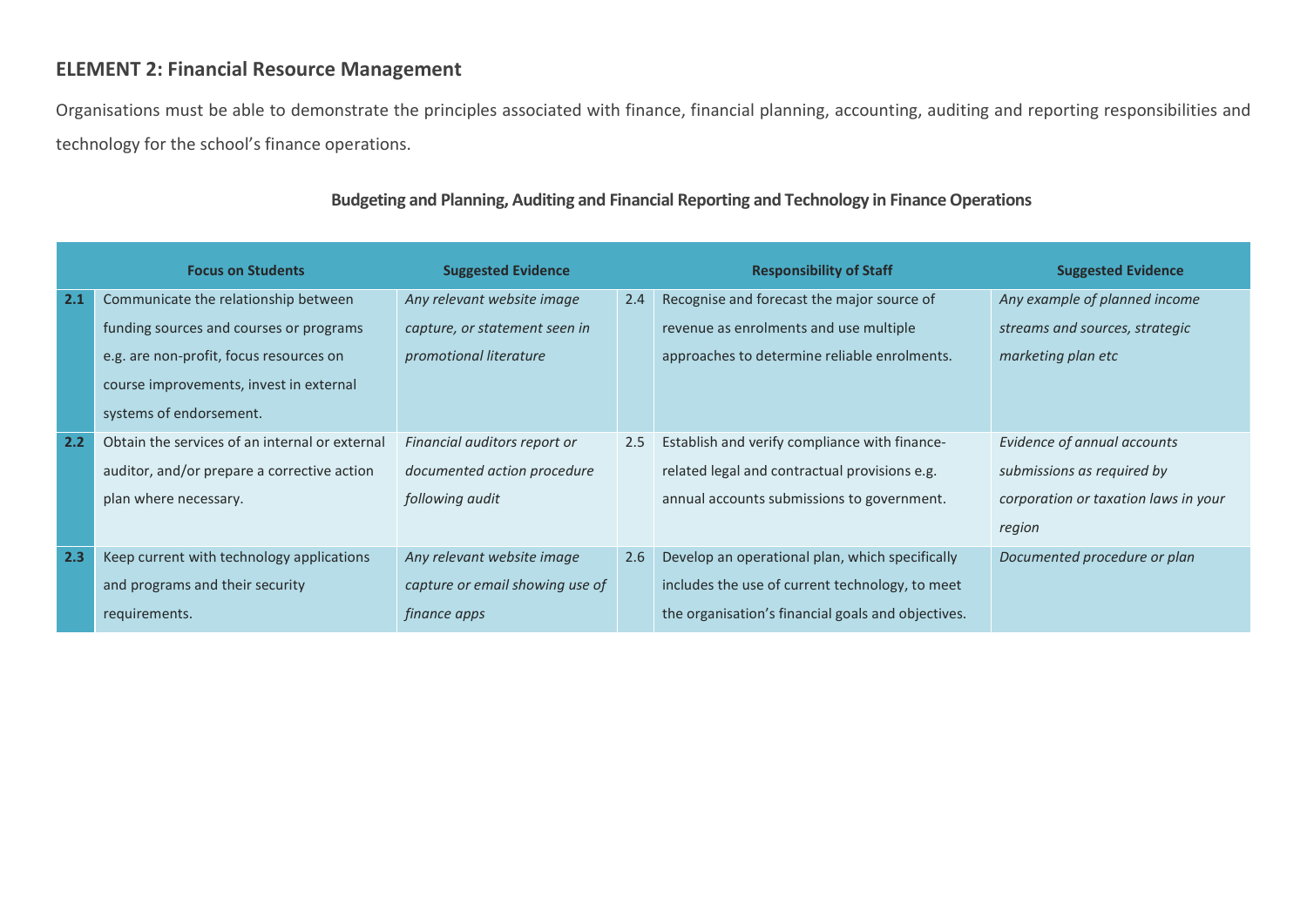# ELEMENT 2: Financial Resource Management

Organisations must be able to demonstrate the principles associated with finance, financial planning, accounting, auditing and reporting responsibilities and technology for the school's finance operations.

|     | <b>Focus on Students</b>                       | <b>Suggested Evidence</b>       |     | <b>Responsibility of Staff</b>                     | <b>Suggested Evidence</b>            |
|-----|------------------------------------------------|---------------------------------|-----|----------------------------------------------------|--------------------------------------|
| 2.1 | Communicate the relationship between           | Any relevant website image      | 2.4 | Recognise and forecast the major source of         | Any example of planned income        |
|     | funding sources and courses or programs        | capture, or statement seen in   |     | revenue as enrolments and use multiple             | streams and sources, strategic       |
|     | e.g. are non-profit, focus resources on        | promotional literature          |     | approaches to determine reliable enrolments.       | marketing plan etc                   |
|     | course improvements, invest in external        |                                 |     |                                                    |                                      |
|     | systems of endorsement.                        |                                 |     |                                                    |                                      |
| 2.2 | Obtain the services of an internal or external | Financial auditors report or    | 2.5 | Establish and verify compliance with finance-      | Evidence of annual accounts          |
|     | auditor, and/or prepare a corrective action    | documented action procedure     |     | related legal and contractual provisions e.g.      | submissions as required by           |
|     | plan where necessary.                          | following audit                 |     | annual accounts submissions to government.         | corporation or taxation laws in your |
|     |                                                |                                 |     |                                                    | region                               |
| 2.3 | Keep current with technology applications      | Any relevant website image      | 2.6 | Develop an operational plan, which specifically    | Documented procedure or plan         |
|     | and programs and their security                | capture or email showing use of |     | includes the use of current technology, to meet    |                                      |
|     | requirements.                                  | <i>finance apps</i>             |     | the organisation's financial goals and objectives. |                                      |

### Budgeting and Planning, Auditing and Financial Reporting and Technology in Finance Operations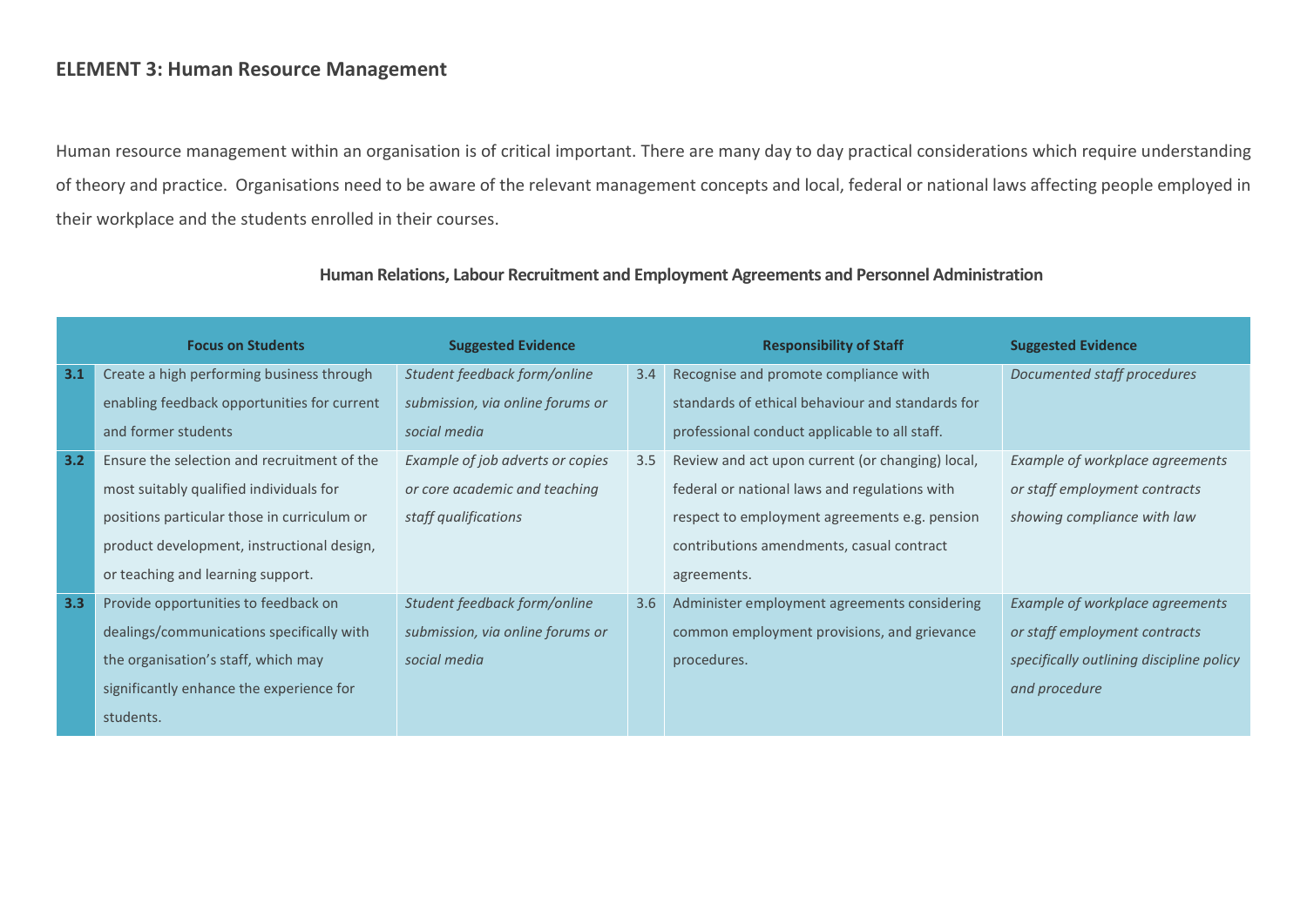### ELEMENT 3: Human Resource Management

Human resource management within an organisation is of critical important. There are many day to day practical considerations which require understanding of theory and practice. Organisations need to be aware of the relevant management concepts and local, federal or national laws affecting people employed in their workplace and the students enrolled in their courses.

|     | <b>Focus on Students</b>                    | <b>Suggested Evidence</b>        |     | <b>Responsibility of Staff</b>                   | <b>Suggested Evidence</b>                |
|-----|---------------------------------------------|----------------------------------|-----|--------------------------------------------------|------------------------------------------|
| 3.1 | Create a high performing business through   | Student feedback form/online     | 3.4 | Recognise and promote compliance with            | Documented staff procedures              |
|     | enabling feedback opportunities for current | submission, via online forums or |     | standards of ethical behaviour and standards for |                                          |
|     | and former students                         | social media                     |     | professional conduct applicable to all staff.    |                                          |
| 3.2 | Ensure the selection and recruitment of the | Example of job adverts or copies | 3.5 | Review and act upon current (or changing) local, | Example of workplace agreements          |
|     | most suitably qualified individuals for     | or core academic and teaching    |     | federal or national laws and regulations with    | or staff employment contracts            |
|     | positions particular those in curriculum or | staff qualifications             |     | respect to employment agreements e.g. pension    | showing compliance with law              |
|     | product development, instructional design,  |                                  |     | contributions amendments, casual contract        |                                          |
|     | or teaching and learning support.           |                                  |     | agreements.                                      |                                          |
| 3.3 | Provide opportunities to feedback on        | Student feedback form/online     | 3.6 | Administer employment agreements considering     | Example of workplace agreements          |
|     | dealings/communications specifically with   | submission, via online forums or |     | common employment provisions, and grievance      | or staff employment contracts            |
|     | the organisation's staff, which may         | social media                     |     | procedures.                                      | specifically outlining discipline policy |
|     | significantly enhance the experience for    |                                  |     |                                                  | and procedure                            |
|     | students.                                   |                                  |     |                                                  |                                          |

#### Human Relations, Labour Recruitment and Employment Agreements and Personnel Administration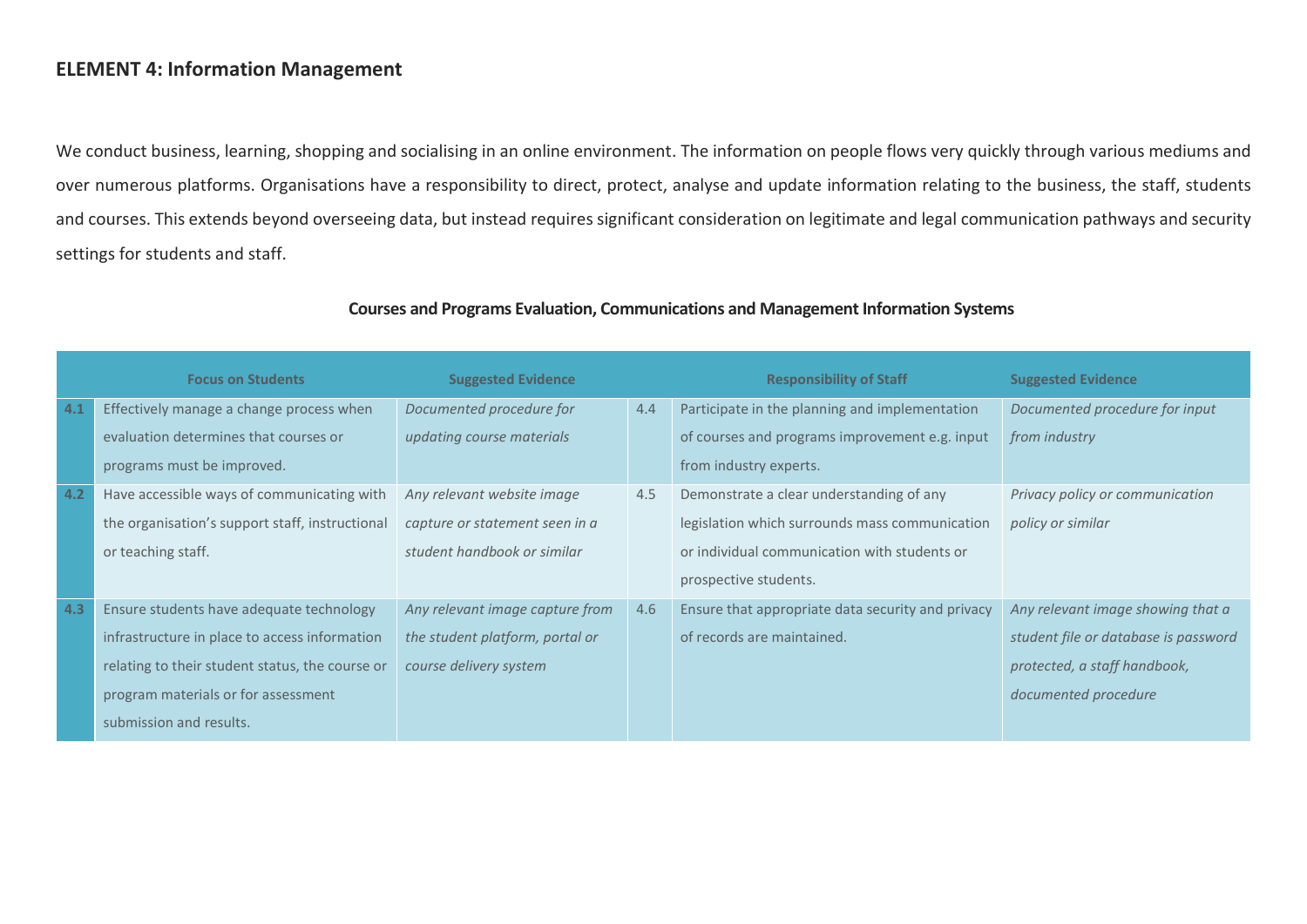### ELEMENT 4: Information Management

We conduct business, learning, shopping and socialising in an online environment. The information on people flows very quickly through various mediums and over numerous platforms. Organisations have a responsibility to direct, protect, analyse and update information relating to the business, the staff, students and courses. This extends beyond overseeing data, but instead requires significant consideration on legitimate and legal communication pathways and security settings for students and staff.

|     | <b>Focus on Students</b>                        | <b>Suggested Evidence</b>       |     | <b>Responsibility of Staff</b>                    | <b>Suggested Evidence</b>            |
|-----|-------------------------------------------------|---------------------------------|-----|---------------------------------------------------|--------------------------------------|
| 4.1 | Effectively manage a change process when        | Documented procedure for        | 4.4 | Participate in the planning and implementation    | Documented procedure for input       |
|     | evaluation determines that courses or           | updating course materials       |     | of courses and programs improvement e.g. input    | from industry                        |
|     | programs must be improved.                      |                                 |     | from industry experts.                            |                                      |
| 4.2 | Have accessible ways of communicating with      | Any relevant website image      | 4.5 | Demonstrate a clear understanding of any          | Privacy policy or communication      |
|     | the organisation's support staff, instructional | capture or statement seen in a  |     | legislation which surrounds mass communication    | policy or similar                    |
|     | or teaching staff.                              | student handbook or similar     |     | or individual communication with students or      |                                      |
|     |                                                 |                                 |     | prospective students.                             |                                      |
| 4.3 | Ensure students have adequate technology        | Any relevant image capture from | 4.6 | Ensure that appropriate data security and privacy | Any relevant image showing that a    |
|     | infrastructure in place to access information   | the student platform, portal or |     | of records are maintained.                        | student file or database is password |
|     | relating to their student status, the course or | course delivery system          |     |                                                   | protected, a staff handbook,         |
|     | program materials or for assessment             |                                 |     |                                                   | documented procedure                 |
|     | submission and results.                         |                                 |     |                                                   |                                      |

#### Courses and Programs Evaluation, Communications and Management Information Systems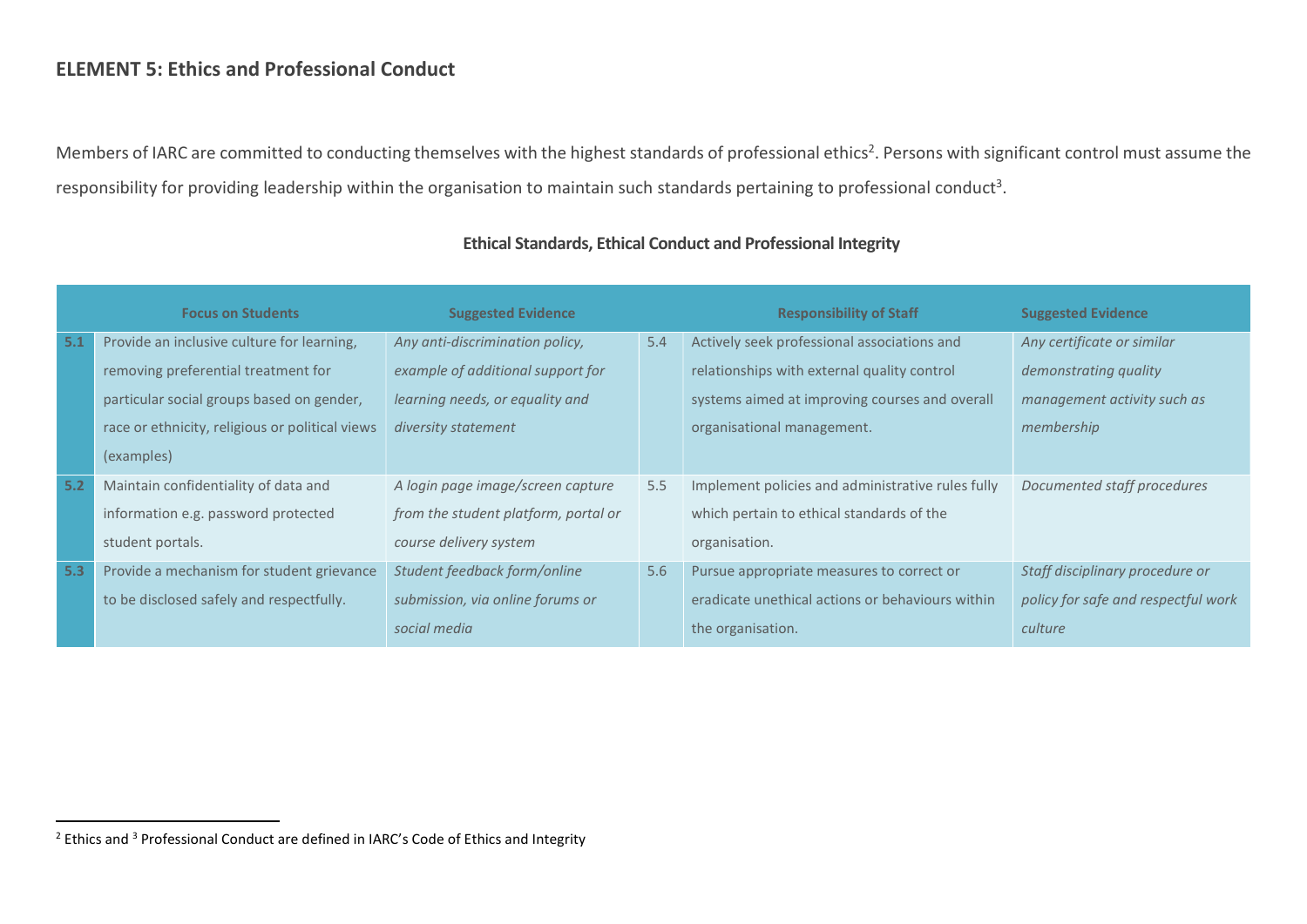### ELEMENT 5: Ethics and Professional Conduct

Members of IARC are committed to conducting themselves with the highest standards of professional ethics<sup>2</sup>. Persons with significant control must assume the responsibility for providing leadership within the organisation to maintain such standards pertaining to professional conduct<sup>3</sup>.

|     | <b>Focus on Students</b>                        | <b>Suggested Evidence</b>            |     | <b>Responsibility of Staff</b>                    | <b>Suggested Evidence</b>           |
|-----|-------------------------------------------------|--------------------------------------|-----|---------------------------------------------------|-------------------------------------|
| 5.1 | Provide an inclusive culture for learning,      | Any anti-discrimination policy,      | 5.4 | Actively seek professional associations and       | Any certificate or similar          |
|     | removing preferential treatment for             | example of additional support for    |     | relationships with external quality control       | demonstrating quality               |
|     | particular social groups based on gender,       | learning needs, or equality and      |     | systems aimed at improving courses and overall    | management activity such as         |
|     | race or ethnicity, religious or political views | diversity statement                  |     | organisational management.                        | membership                          |
|     | (examples)                                      |                                      |     |                                                   |                                     |
| 5.2 | Maintain confidentiality of data and            | A login page image/screen capture    | 5.5 | Implement policies and administrative rules fully | Documented staff procedures         |
|     | information e.g. password protected             | from the student platform, portal or |     | which pertain to ethical standards of the         |                                     |
|     | student portals.                                | course delivery system               |     | organisation.                                     |                                     |
| 5.3 | Provide a mechanism for student grievance       | Student feedback form/online         | 5.6 | Pursue appropriate measures to correct or         | Staff disciplinary procedure or     |
|     | to be disclosed safely and respectfully.        | submission, via online forums or     |     | eradicate unethical actions or behaviours within  | policy for safe and respectful work |
|     |                                                 | social media                         |     | the organisation.                                 | culture                             |

### Ethical Standards, Ethical Conduct and Professional Integrity

 $\overline{a}$ 

<sup>&</sup>lt;sup>2</sup> Ethics and <sup>3</sup> Professional Conduct are defined in IARC's Code of Ethics and Integrity